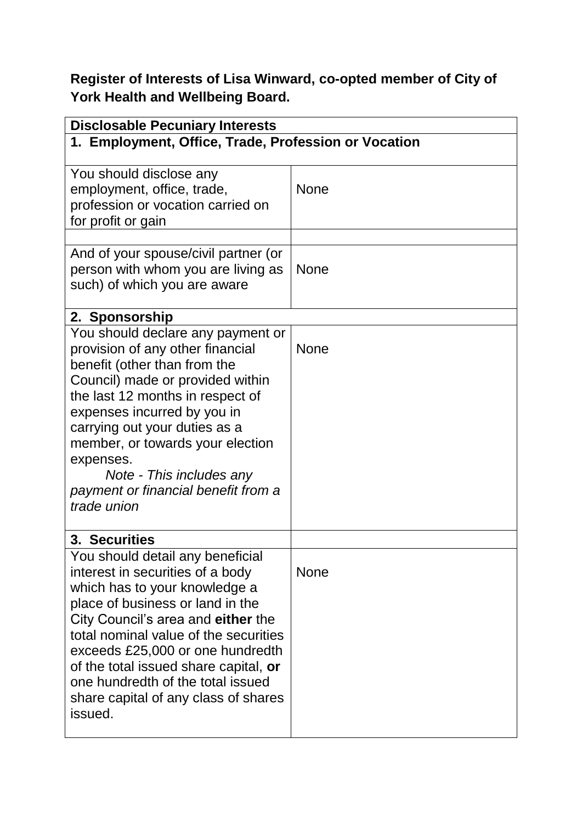**Register of Interests of Lisa Winward, co-opted member of City of York Health and Wellbeing Board.**

| <b>Disclosable Pecuniary Interests</b>                                                                                                                                                                                                                                                                                                                                                        |             |  |
|-----------------------------------------------------------------------------------------------------------------------------------------------------------------------------------------------------------------------------------------------------------------------------------------------------------------------------------------------------------------------------------------------|-------------|--|
| 1. Employment, Office, Trade, Profession or Vocation                                                                                                                                                                                                                                                                                                                                          |             |  |
| You should disclose any<br>employment, office, trade,<br>profession or vocation carried on<br>for profit or gain                                                                                                                                                                                                                                                                              | <b>None</b> |  |
|                                                                                                                                                                                                                                                                                                                                                                                               |             |  |
| And of your spouse/civil partner (or<br>person with whom you are living as<br>such) of which you are aware                                                                                                                                                                                                                                                                                    | <b>None</b> |  |
| 2. Sponsorship                                                                                                                                                                                                                                                                                                                                                                                |             |  |
| You should declare any payment or<br>provision of any other financial<br>benefit (other than from the<br>Council) made or provided within<br>the last 12 months in respect of<br>expenses incurred by you in<br>carrying out your duties as a<br>member, or towards your election<br>expenses.<br>Note - This includes any<br>payment or financial benefit from a<br>trade union              | <b>None</b> |  |
| 3. Securities                                                                                                                                                                                                                                                                                                                                                                                 |             |  |
| You should detail any beneficial<br>interest in securities of a body<br>which has to your knowledge a<br>place of business or land in the<br>City Council's area and either the<br>total nominal value of the securities<br>exceeds £25,000 or one hundredth<br>of the total issued share capital, or<br>one hundredth of the total issued<br>share capital of any class of shares<br>issued. | <b>None</b> |  |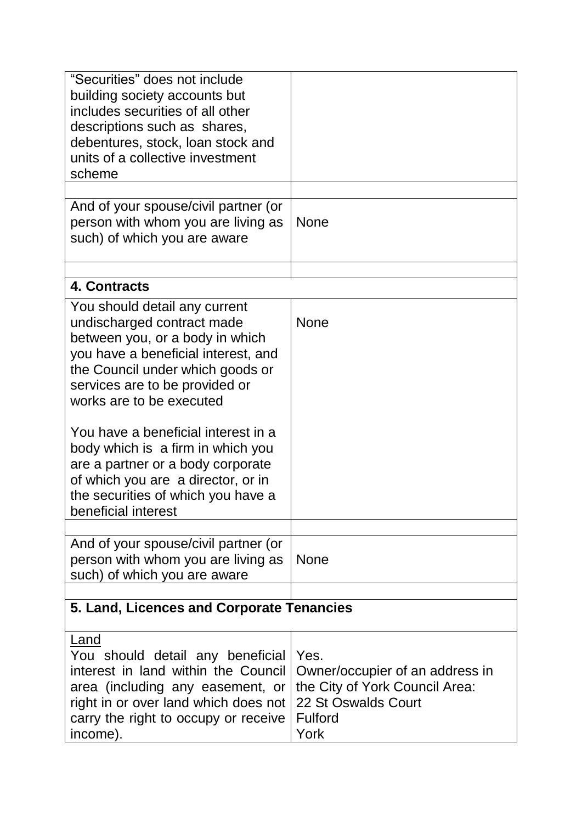| "Securities" does not include<br>building society accounts but<br>includes securities of all other<br>descriptions such as shares,<br>debentures, stock, loan stock and<br>units of a collective investment<br>scheme                                                                                                                                    |                                                                                                                            |
|----------------------------------------------------------------------------------------------------------------------------------------------------------------------------------------------------------------------------------------------------------------------------------------------------------------------------------------------------------|----------------------------------------------------------------------------------------------------------------------------|
|                                                                                                                                                                                                                                                                                                                                                          |                                                                                                                            |
| And of your spouse/civil partner (or<br>person with whom you are living as<br>such) of which you are aware                                                                                                                                                                                                                                               | <b>None</b>                                                                                                                |
| 4. Contracts                                                                                                                                                                                                                                                                                                                                             |                                                                                                                            |
| You should detail any current<br>undischarged contract made<br>between you, or a body in which<br>you have a beneficial interest, and<br>the Council under which goods or<br>services are to be provided or<br>works are to be executed<br>You have a beneficial interest in a<br>body which is a firm in which you<br>are a partner or a body corporate | <b>None</b>                                                                                                                |
| of which you are a director, or in<br>the securities of which you have a<br>beneficial interest                                                                                                                                                                                                                                                          |                                                                                                                            |
|                                                                                                                                                                                                                                                                                                                                                          |                                                                                                                            |
| And of your spouse/civil partner (or<br>person with whom you are living as<br>such) of which you are aware                                                                                                                                                                                                                                               | <b>None</b>                                                                                                                |
| 5. Land, Licences and Corporate Tenancies                                                                                                                                                                                                                                                                                                                |                                                                                                                            |
| Land<br>You should detail any beneficial<br>interest in land within the Council<br>area (including any easement, or<br>right in or over land which does not<br>carry the right to occupy or receive<br>income).                                                                                                                                          | Yes.<br>Owner/occupier of an address in<br>the City of York Council Area:<br>22 St Oswalds Court<br><b>Fulford</b><br>York |